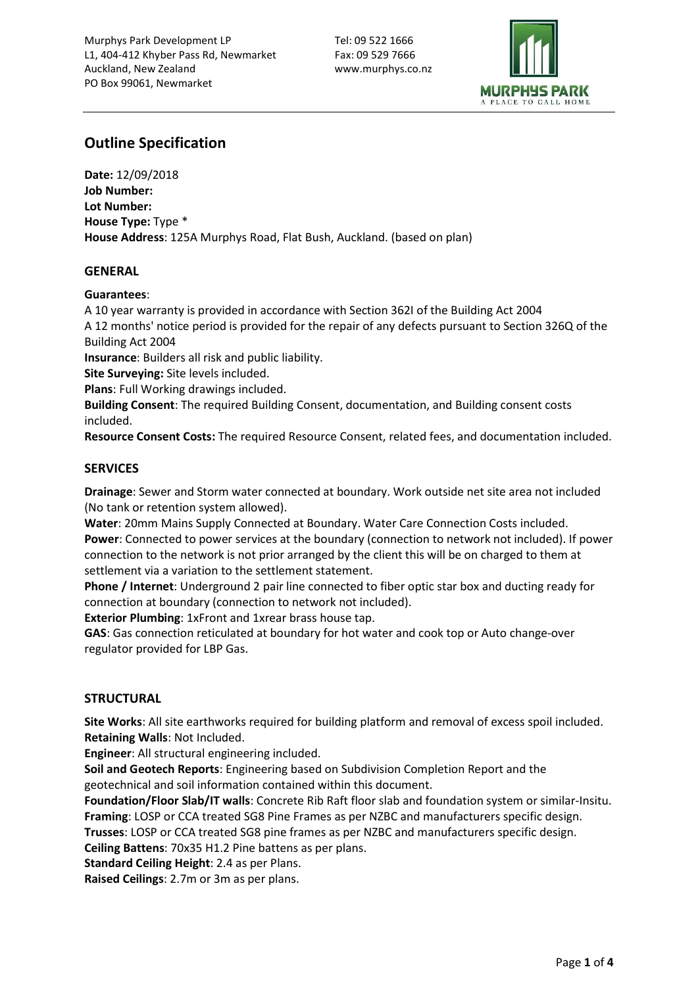

# Outline Specification

Date: 12/09/2018 Job Number: Lot Number: House Type: Type \* House Address: 125A Murphys Road, Flat Bush, Auckland. (based on plan)

# GENERAL

# Guarantees:

A 10 year warranty is provided in accordance with Section 362I of the Building Act 2004 A 12 months' notice period is provided for the repair of any defects pursuant to Section 326Q of the Building Act 2004

Insurance: Builders all risk and public liability.

Site Surveying: Site levels included.

Plans: Full Working drawings included.

Building Consent: The required Building Consent, documentation, and Building consent costs included.

Resource Consent Costs: The required Resource Consent, related fees, and documentation included.

# **SERVICES**

Drainage: Sewer and Storm water connected at boundary. Work outside net site area not included (No tank or retention system allowed).

Water: 20mm Mains Supply Connected at Boundary. Water Care Connection Costs included. Power: Connected to power services at the boundary (connection to network not included). If power connection to the network is not prior arranged by the client this will be on charged to them at settlement via a variation to the settlement statement.

Phone / Internet: Underground 2 pair line connected to fiber optic star box and ducting ready for connection at boundary (connection to network not included).

Exterior Plumbing: 1xFront and 1xrear brass house tap.

GAS: Gas connection reticulated at boundary for hot water and cook top or Auto change-over regulator provided for LBP Gas.

# **STRUCTURAL**

Site Works: All site earthworks required for building platform and removal of excess spoil included. Retaining Walls: Not Included.

Engineer: All structural engineering included.

Soil and Geotech Reports: Engineering based on Subdivision Completion Report and the geotechnical and soil information contained within this document.

Foundation/Floor Slab/IT walls: Concrete Rib Raft floor slab and foundation system or similar-Insitu. Framing: LOSP or CCA treated SG8 Pine Frames as per NZBC and manufacturers specific design.

Trusses: LOSP or CCA treated SG8 pine frames as per NZBC and manufacturers specific design.

Ceiling Battens: 70x35 H1.2 Pine battens as per plans.

Standard Ceiling Height: 2.4 as per Plans.

Raised Ceilings: 2.7m or 3m as per plans.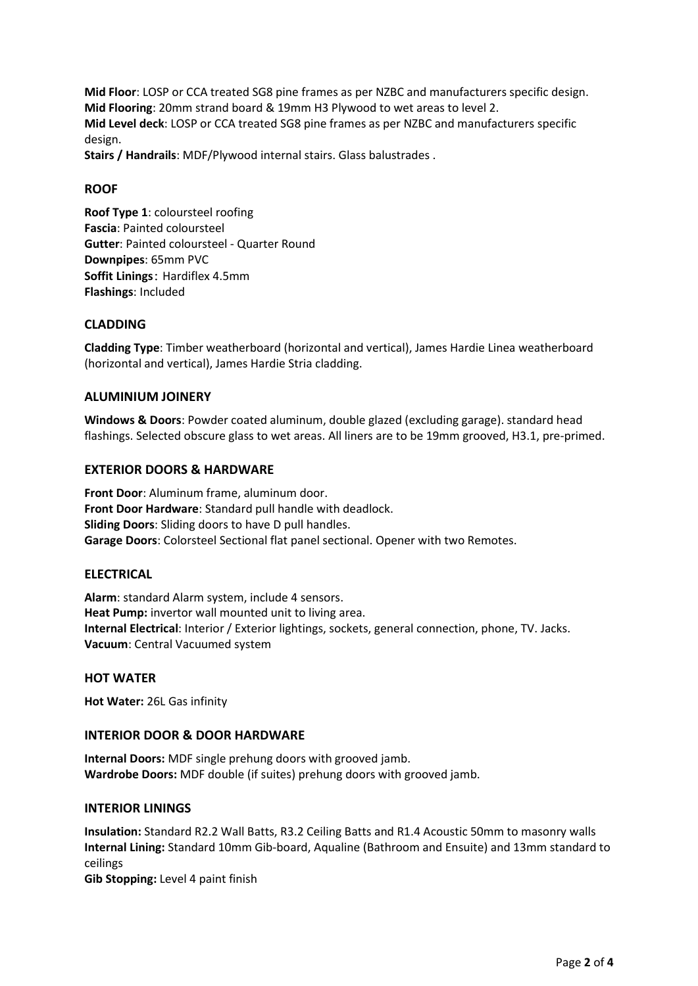Mid Floor: LOSP or CCA treated SG8 pine frames as per NZBC and manufacturers specific design. Mid Flooring: 20mm strand board & 19mm H3 Plywood to wet areas to level 2. Mid Level deck: LOSP or CCA treated SG8 pine frames as per NZBC and manufacturers specific design.

Stairs / Handrails: MDF/Plywood internal stairs. Glass balustrades .

# ROOF

Roof Type 1: coloursteel roofing Fascia: Painted coloursteel Gutter: Painted coloursteel - Quarter Round Downpipes: 65mm PVC Soffit Linings: Hardiflex 4.5mm Flashings: Included

# CLADDING

Cladding Type: Timber weatherboard (horizontal and vertical), James Hardie Linea weatherboard (horizontal and vertical), James Hardie Stria cladding.

# ALUMINIUM JOINERY

Windows & Doors: Powder coated aluminum, double glazed (excluding garage). standard head flashings. Selected obscure glass to wet areas. All liners are to be 19mm grooved, H3.1, pre-primed.

# EXTERIOR DOORS & HARDWARE

Front Door: Aluminum frame, aluminum door. Front Door Hardware: Standard pull handle with deadlock. Sliding Doors: Sliding doors to have D pull handles. Garage Doors: Colorsteel Sectional flat panel sectional. Opener with two Remotes.

#### ELECTRICAL

Alarm: standard Alarm system, include 4 sensors. Heat Pump: invertor wall mounted unit to living area. Internal Electrical: Interior / Exterior lightings, sockets, general connection, phone, TV. Jacks. Vacuum: Central Vacuumed system

#### HOT WATER

Hot Water: 26L Gas infinity

#### INTERIOR DOOR & DOOR HARDWARE

Internal Doors: MDF single prehung doors with grooved jamb. Wardrobe Doors: MDF double (if suites) prehung doors with grooved jamb.

#### INTERIOR LININGS

Insulation: Standard R2.2 Wall Batts, R3.2 Ceiling Batts and R1.4 Acoustic 50mm to masonry walls Internal Lining: Standard 10mm Gib-board, Aqualine (Bathroom and Ensuite) and 13mm standard to ceilings

Gib Stopping: Level 4 paint finish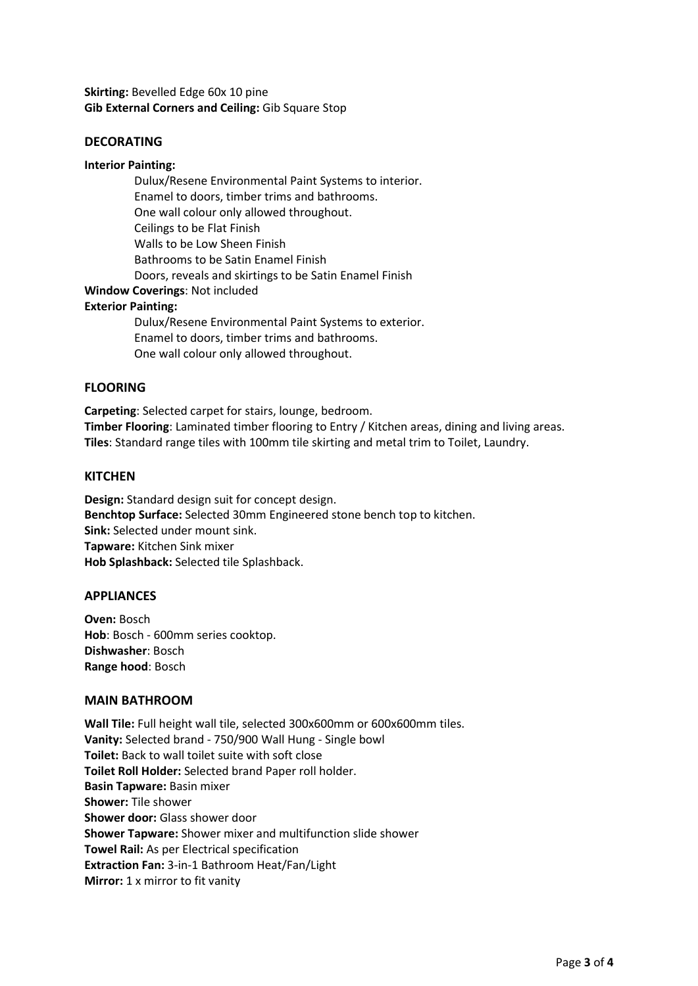Skirting: Bevelled Edge 60x 10 pine Gib External Corners and Ceiling: Gib Square Stop

# DECORATING

#### Interior Painting:

Dulux/Resene Environmental Paint Systems to interior. Enamel to doors, timber trims and bathrooms. One wall colour only allowed throughout. Ceilings to be Flat Finish Walls to be Low Sheen Finish Bathrooms to be Satin Enamel Finish Doors, reveals and skirtings to be Satin Enamel Finish

# Window Coverings: Not included

#### Exterior Painting:

Dulux/Resene Environmental Paint Systems to exterior. Enamel to doors, timber trims and bathrooms. One wall colour only allowed throughout.

#### FLOORING

Carpeting: Selected carpet for stairs, lounge, bedroom. Timber Flooring: Laminated timber flooring to Entry / Kitchen areas, dining and living areas. Tiles: Standard range tiles with 100mm tile skirting and metal trim to Toilet, Laundry.

#### **KITCHEN**

Design: Standard design suit for concept design. Benchtop Surface: Selected 30mm Engineered stone bench top to kitchen. Sink: Selected under mount sink. Tapware: Kitchen Sink mixer Hob Splashback: Selected tile Splashback.

#### **APPLIANCES**

Oven: Bosch Hob: Bosch - 600mm series cooktop. Dishwasher: Bosch Range hood: Bosch

#### MAIN BATHROOM

Wall Tile: Full height wall tile, selected 300x600mm or 600x600mm tiles. Vanity: Selected brand - 750/900 Wall Hung - Single bowl Toilet: Back to wall toilet suite with soft close Toilet Roll Holder: Selected brand Paper roll holder. Basin Tapware: Basin mixer Shower: Tile shower Shower door: Glass shower door Shower Tapware: Shower mixer and multifunction slide shower Towel Rail: As per Electrical specification Extraction Fan: 3-in-1 Bathroom Heat/Fan/Light Mirror: 1 x mirror to fit vanity